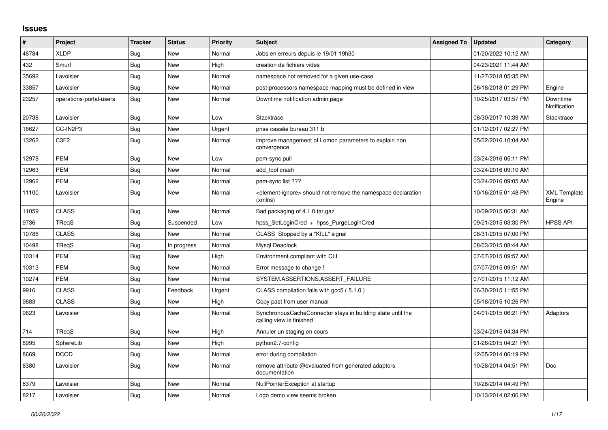## **Issues**

| #     | Project                 | <b>Tracker</b> | <b>Status</b> | <b>Priority</b> | <b>Subject</b>                                                                            | <b>Assigned To</b> | <b>Updated</b>      | Category                      |
|-------|-------------------------|----------------|---------------|-----------------|-------------------------------------------------------------------------------------------|--------------------|---------------------|-------------------------------|
| 48784 | <b>XLDP</b>             | Bug            | New           | Normal          | Jobs en erreurs depuis le 19/01 19h30                                                     |                    | 01/20/2022 10:12 AM |                               |
| 432   | Smurf                   | <b>Bug</b>     | New           | High            | creation de fichiers vides                                                                |                    | 04/23/2021 11:44 AM |                               |
| 35692 | Lavoisier               | Bug            | <b>New</b>    | Normal          | namespace not removed for a given use-case                                                |                    | 11/27/2018 05:35 PM |                               |
| 33857 | Lavoisier               | <b>Bug</b>     | New           | Normal          | post-processors namespace mapping must be defined in view                                 |                    | 06/18/2018 01:29 PM | Engine                        |
| 23257 | operations-portal-users | Bug            | New           | Normal          | Downtime notification admin page                                                          |                    | 10/25/2017 03:57 PM | Downtime<br>Notification      |
| 20738 | Lavoisier               | <b>Bug</b>     | <b>New</b>    | Low             | Stacktrace                                                                                |                    | 08/30/2017 10:39 AM | <b>Stacktrace</b>             |
| 16627 | CC-IN2P3                | <b>Bug</b>     | New           | Urgent          | prise cassée bureau 311 b                                                                 |                    | 01/12/2017 02:27 PM |                               |
| 13262 | C3F2                    | Bug            | <b>New</b>    | Normal          | improve management of Lomon parameters to explain non<br>convergence                      |                    | 05/02/2016 10:04 AM |                               |
| 12978 | <b>PEM</b>              | <b>Bug</b>     | <b>New</b>    | Low             | pem-sync pull                                                                             |                    | 03/24/2016 05:11 PM |                               |
| 12963 | <b>PEM</b>              | Bug            | New           | Normal          | add tool crash                                                                            |                    | 03/24/2016 09:10 AM |                               |
| 12962 | <b>PEM</b>              | <b>Bug</b>     | <b>New</b>    | Normal          | pem-sync list ???                                                                         |                    | 03/24/2016 09:05 AM |                               |
| 11100 | Lavoisier               | <b>Bug</b>     | New           | Normal          | <element-ignore> should not remove the namespace declaration<br/>(xmlns)</element-ignore> |                    | 10/16/2015 01:48 PM | <b>XML Template</b><br>Engine |
| 11059 | <b>CLASS</b>            | <b>Bug</b>     | <b>New</b>    | Normal          | Bad packaging of 4.1.0.tar.gaz                                                            |                    | 10/09/2015 06:31 AM |                               |
| 9736  | TReqS                   | Bug            | Suspended     | Low             | hpss_SetLoginCred + hpss_PurgeLoginCred                                                   |                    | 09/21/2015 03:30 PM | <b>HPSS API</b>               |
| 10786 | <b>CLASS</b>            | <b>Bug</b>     | <b>New</b>    | Normal          | CLASS Stopped by a "KILL" signal                                                          |                    | 08/31/2015 07:00 PM |                               |
| 10498 | TReqS                   | <b>Bug</b>     | In progress   | Normal          | Mysql Deadlock                                                                            |                    | 08/03/2015 08:44 AM |                               |
| 10314 | PEM                     | <b>Bug</b>     | New           | High            | Environment compliant with CLI                                                            |                    | 07/07/2015 09:57 AM |                               |
| 10313 | <b>PEM</b>              | <b>Bug</b>     | <b>New</b>    | Normal          | Error message to change !                                                                 |                    | 07/07/2015 09:51 AM |                               |
| 10274 | <b>PEM</b>              | <b>Bug</b>     | New           | Normal          | SYSTEM.ASSERTIONS.ASSERT_FAILURE                                                          |                    | 07/01/2015 11:12 AM |                               |
| 9916  | <b>CLASS</b>            | Bug            | Feedback      | Urgent          | CLASS compilation fails with gcc5 (5.1.0)                                                 |                    | 06/30/2015 11:55 PM |                               |
| 9883  | <b>CLASS</b>            | <b>Bug</b>     | New           | High            | Copy past from user manual                                                                |                    | 05/18/2015 10:26 PM |                               |
| 9623  | Lavoisier               | <b>Bug</b>     | New           | Normal          | SynchronousCacheConnector stays in building state until the<br>calling view is finished   |                    | 04/01/2015 06:21 PM | Adaptors                      |
| 714   | TRegS                   | <b>Bug</b>     | New           | High            | Annuler un staging en cours                                                               |                    | 03/24/2015 04:34 PM |                               |
| 8995  | SphereLib               | <b>Bug</b>     | <b>New</b>    | High            | python2.7-config                                                                          |                    | 01/28/2015 04:21 PM |                               |
| 8669  | <b>DCOD</b>             | <b>Bug</b>     | New           | Normal          | error during compilation                                                                  |                    | 12/05/2014 06:19 PM |                               |
| 8380  | Lavoisier               | <b>Bug</b>     | New           | Normal          | remove attribute @evaluated from generated adaptors<br>documentation                      |                    | 10/28/2014 04:51 PM | <b>Doc</b>                    |
| 8379  | Lavoisier               | <b>Bug</b>     | <b>New</b>    | Normal          | NullPointerException at startup                                                           |                    | 10/28/2014 04:49 PM |                               |
| 8217  | Lavoisier               | <b>Bug</b>     | New           | Normal          | Logo demo view seems broken                                                               |                    | 10/13/2014 02:06 PM |                               |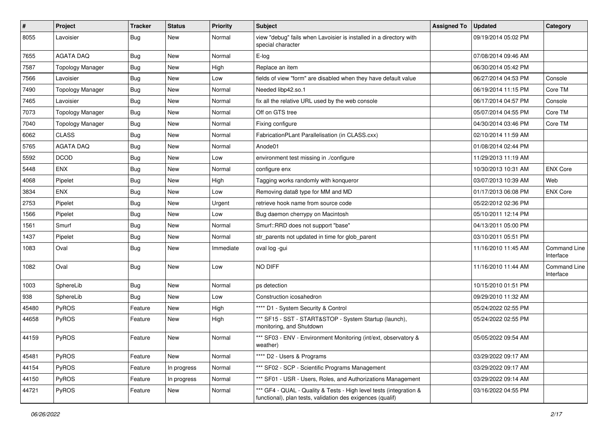| #     | Project                 | <b>Tracker</b> | <b>Status</b> | <b>Priority</b> | <b>Subject</b>                                                                                                                   | <b>Assigned To</b> | <b>Updated</b>      | Category                  |
|-------|-------------------------|----------------|---------------|-----------------|----------------------------------------------------------------------------------------------------------------------------------|--------------------|---------------------|---------------------------|
| 8055  | Lavoisier               | <b>Bug</b>     | New           | Normal          | view "debug" fails when Lavoisier is installed in a directory with<br>special character                                          |                    | 09/19/2014 05:02 PM |                           |
| 7655  | <b>AGATA DAQ</b>        | <b>Bug</b>     | New           | Normal          | E-log                                                                                                                            |                    | 07/08/2014 09:46 AM |                           |
| 7587  | <b>Topology Manager</b> | Bug            | New           | High            | Replace an item                                                                                                                  |                    | 06/30/2014 05:42 PM |                           |
| 7566  | Lavoisier               | Bug            | New           | Low             | fields of view "form" are disabled when they have default value                                                                  |                    | 06/27/2014 04:53 PM | Console                   |
| 7490  | <b>Topology Manager</b> | Bug            | New           | Normal          | Needed libp42.so.1                                                                                                               |                    | 06/19/2014 11:15 PM | Core TM                   |
| 7465  | Lavoisier               | Bug            | New           | Normal          | fix all the relative URL used by the web console                                                                                 |                    | 06/17/2014 04:57 PM | Console                   |
| 7073  | <b>Topology Manager</b> | <b>Bug</b>     | New           | Normal          | Off on GTS tree                                                                                                                  |                    | 05/07/2014 04:55 PM | Core TM                   |
| 7040  | <b>Topology Manager</b> | Bug            | New           | Normal          | Fixing configure                                                                                                                 |                    | 04/30/2014 03:46 PM | Core TM                   |
| 6062  | <b>CLASS</b>            | Bug            | New           | Normal          | FabricationPLant Parallelisation (in CLASS.cxx)                                                                                  |                    | 02/10/2014 11:59 AM |                           |
| 5765  | <b>AGATA DAQ</b>        | <b>Bug</b>     | New           | Normal          | Anode01                                                                                                                          |                    | 01/08/2014 02:44 PM |                           |
| 5592  | <b>DCOD</b>             | Bug            | New           | Low             | environment test missing in ./configure                                                                                          |                    | 11/29/2013 11:19 AM |                           |
| 5448  | <b>ENX</b>              | Bug            | New           | Normal          | configure enx                                                                                                                    |                    | 10/30/2013 10:31 AM | <b>ENX Core</b>           |
| 4068  | Pipelet                 | <b>Bug</b>     | New           | High            | Tagging works randomly with konqueror                                                                                            |                    | 03/07/2013 10:39 AM | Web                       |
| 3834  | <b>ENX</b>              | <b>Bug</b>     | New           | Low             | Removing data8 type for MM and MD                                                                                                |                    | 01/17/2013 06:08 PM | <b>ENX Core</b>           |
| 2753  | Pipelet                 | <b>Bug</b>     | New           | Urgent          | retrieve hook name from source code                                                                                              |                    | 05/22/2012 02:36 PM |                           |
| 1566  | Pipelet                 | <b>Bug</b>     | New           | Low             | Bug daemon cherrypy on Macintosh                                                                                                 |                    | 05/10/2011 12:14 PM |                           |
| 1561  | Smurf                   | Bug            | New           | Normal          | Smurf::RRD does not support "base"                                                                                               |                    | 04/13/2011 05:00 PM |                           |
| 1437  | Pipelet                 | Bug            | New           | Normal          | str_parents not updated in time for glob_parent                                                                                  |                    | 03/10/2011 05:51 PM |                           |
| 1083  | Oval                    | <b>Bug</b>     | New           | Immediate       | oval log -gui                                                                                                                    |                    | 11/16/2010 11:45 AM | Command Line<br>Interface |
| 1082  | Oval                    | <b>Bug</b>     | New           | Low             | NO DIFF                                                                                                                          |                    | 11/16/2010 11:44 AM | Command Line<br>Interface |
| 1003  | SphereLib               | <b>Bug</b>     | New           | Normal          | ps detection                                                                                                                     |                    | 10/15/2010 01:51 PM |                           |
| 938   | SphereLib               | <b>Bug</b>     | New           | Low             | Construction icosahedron                                                                                                         |                    | 09/29/2010 11:32 AM |                           |
| 45480 | PyROS                   | Feature        | New           | High            | **** D1 - System Security & Control                                                                                              |                    | 05/24/2022 02:55 PM |                           |
| 44658 | PyROS                   | Feature        | New           | High            | *** SF15 - SST - START&STOP - System Startup (launch),<br>monitoring, and Shutdown                                               |                    | 05/24/2022 02:55 PM |                           |
| 44159 | PyROS                   | Feature        | New           | Normal          | *** SF03 - ENV - Environment Monitoring (int/ext, observatory &<br>weather)                                                      |                    | 05/05/2022 09:54 AM |                           |
| 45481 | PyROS                   | Feature        | New           | Normal          | **** D2 - Users & Programs                                                                                                       |                    | 03/29/2022 09:17 AM |                           |
| 44154 | PyROS                   | Feature        | In progress   | Normal          | *** SF02 - SCP - Scientific Programs Management                                                                                  |                    | 03/29/2022 09:17 AM |                           |
| 44150 | PyROS                   | Feature        | In progress   | Normal          | *** SF01 - USR - Users, Roles, and Authorizations Management                                                                     |                    | 03/29/2022 09:14 AM |                           |
| 44721 | PyROS                   | Feature        | New           | Normal          | *** GF4 - QUAL - Quality & Tests - High level tests (integration &<br>functional), plan tests, validation des exigences (qualif) |                    | 03/16/2022 04:55 PM |                           |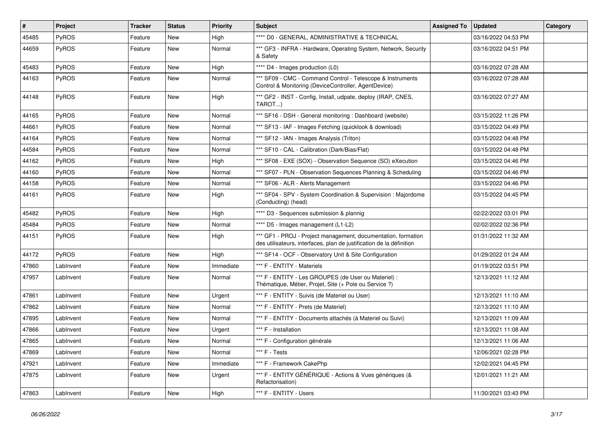| $\vert$ # | Project      | Tracker | <b>Status</b> | <b>Priority</b> | Subject                                                                                                                               | <b>Assigned To</b> | <b>Updated</b>      | Category |
|-----------|--------------|---------|---------------|-----------------|---------------------------------------------------------------------------------------------------------------------------------------|--------------------|---------------------|----------|
| 45485     | <b>PyROS</b> | Feature | New           | High            | **** D0 - GENERAL, ADMINISTRATIVE & TECHNICAL                                                                                         |                    | 03/16/2022 04:53 PM |          |
| 44659     | PyROS        | Feature | New           | Normal          | *** GF3 - INFRA - Hardware, Operating System, Network, Security<br>& Safety                                                           |                    | 03/16/2022 04:51 PM |          |
| 45483     | PyROS        | Feature | New           | High            | **** D4 - Images production (L0)                                                                                                      |                    | 03/16/2022 07:28 AM |          |
| 44163     | <b>PyROS</b> | Feature | New           | Normal          | *** SF09 - CMC - Command Control - Telescope & Instruments<br>Control & Monitoring (DeviceController, AgentDevice)                    |                    | 03/16/2022 07:28 AM |          |
| 44148     | PyROS        | Feature | New           | High            | *** GF2 - INST - Config, Install, udpate, deploy (IRAP, CNES,<br>TAROT)                                                               |                    | 03/16/2022 07:27 AM |          |
| 44165     | <b>PyROS</b> | Feature | New           | Normal          | *** SF16 - DSH - General monitoring : Dashboard (website)                                                                             |                    | 03/15/2022 11:26 PM |          |
| 44661     | PyROS        | Feature | New           | Normal          | *** SF13 - IAF - Images Fetching (quicklook & download)                                                                               |                    | 03/15/2022 04:49 PM |          |
| 44164     | <b>PyROS</b> | Feature | New           | Normal          | *** SF12 - IAN - Images Analysis (Triton)                                                                                             |                    | 03/15/2022 04:48 PM |          |
| 44584     | PyROS        | Feature | New           | Normal          | *** SF10 - CAL - Calibration (Dark/Bias/Flat)                                                                                         |                    | 03/15/2022 04:48 PM |          |
| 44162     | PyROS        | Feature | New           | High            | *** SF08 - EXE (SOX) - Observation Sequence (SO) eXecution                                                                            |                    | 03/15/2022 04:46 PM |          |
| 44160     | PyROS        | Feature | New           | Normal          | *** SF07 - PLN - Observation Sequences Planning & Scheduling                                                                          |                    | 03/15/2022 04:46 PM |          |
| 44158     | PyROS        | Feature | New           | Normal          | *** SF06 - ALR - Alerts Management                                                                                                    |                    | 03/15/2022 04:46 PM |          |
| 44161     | <b>PyROS</b> | Feature | New           | High            | *** SF04 - SPV - System Coordination & Supervision : Majordome<br>(Conducting) (head)                                                 |                    | 03/15/2022 04:45 PM |          |
| 45482     | PyROS        | Feature | New           | High            | **** D3 - Sequences submission & plannig                                                                                              |                    | 02/22/2022 03:01 PM |          |
| 45484     | <b>PyROS</b> | Feature | New           | Normal          | **** D5 - Images management (L1-L2)                                                                                                   |                    | 02/02/2022 02:36 PM |          |
| 44151     | PyROS        | Feature | New           | High            | *** GF1 - PROJ - Project management, documentation, formation<br>des utilisateurs, interfaces, plan de justification de la définition |                    | 01/31/2022 11:32 AM |          |
| 44172     | PyROS        | Feature | New           | High            | *** SF14 - OCF - Observatory Unit & Site Configuration                                                                                |                    | 01/29/2022 01:24 AM |          |
| 47860     | LabInvent    | Feature | New           | Immediate       | *** F - ENTITY - Materiels                                                                                                            |                    | 01/19/2022 03:51 PM |          |
| 47957     | LabInvent    | Feature | New           | Normal          | *** F - ENTITY - Les GROUPES (de User ou Materiel) :<br>Thématique, Métier, Projet, Site (+ Pole ou Service ?)                        |                    | 12/13/2021 11:12 AM |          |
| 47861     | LabInvent    | Feature | New           | Urgent          | *** F - ENTITY - Suivis (de Materiel ou User)                                                                                         |                    | 12/13/2021 11:10 AM |          |
| 47862     | LabInvent    | Feature | New           | Normal          | *** F - ENTITY - Prets (de Materiel)                                                                                                  |                    | 12/13/2021 11:10 AM |          |
| 47895     | LabInvent    | Feature | New           | Normal          | *** F - ENTITY - Documents attachés (à Materiel ou Suivi)                                                                             |                    | 12/13/2021 11:09 AM |          |
| 47866     | LabInvent    | Feature | New           | Urgent          | *** F - Installation                                                                                                                  |                    | 12/13/2021 11:08 AM |          |
| 47865     | LabInvent    | Feature | New           | Normal          | *** F - Configuration générale                                                                                                        |                    | 12/13/2021 11:06 AM |          |
| 47869     | LabInvent    | Feature | New           | Normal          | *** F - Tests                                                                                                                         |                    | 12/06/2021 02:28 PM |          |
| 47921     | LabInvent    | Feature | New           | Immediate       | *** F - Framework CakePhp                                                                                                             |                    | 12/02/2021 04:45 PM |          |
| 47875     | LabInvent    | Feature | New           | Urgent          | *** F - ENTITY GÉNÉRIQUE - Actions & Vues génériques (&<br>Refactorisation)                                                           |                    | 12/01/2021 11:21 AM |          |
| 47863     | LabInvent    | Feature | New           | High            | *** F - ENTITY - Users                                                                                                                |                    | 11/30/2021 03:43 PM |          |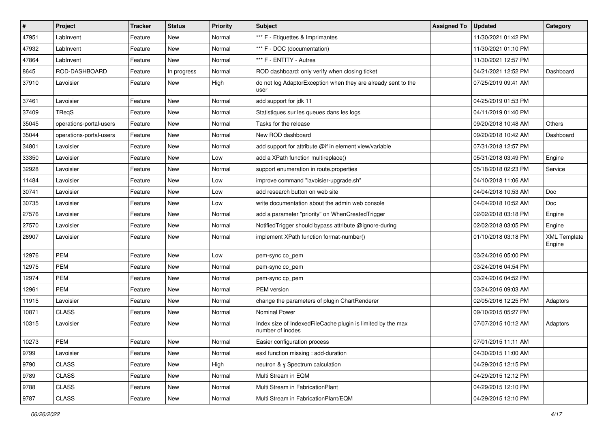| $\sharp$ | Project                 | <b>Tracker</b> | <b>Status</b> | <b>Priority</b> | <b>Subject</b>                                                                  | <b>Assigned To</b> | <b>Updated</b>      | Category                      |
|----------|-------------------------|----------------|---------------|-----------------|---------------------------------------------------------------------------------|--------------------|---------------------|-------------------------------|
| 47951    | LabInvent               | Feature        | New           | Normal          | *** F - Etiquettes & Imprimantes                                                |                    | 11/30/2021 01:42 PM |                               |
| 47932    | LabInvent               | Feature        | <b>New</b>    | Normal          | *** F - DOC (documentation)                                                     |                    | 11/30/2021 01:10 PM |                               |
| 47864    | LabInvent               | Feature        | New           | Normal          | *** F - ENTITY - Autres                                                         |                    | 11/30/2021 12:57 PM |                               |
| 8645     | ROD-DASHBOARD           | Feature        | In progress   | Normal          | ROD dashboard: only verify when closing ticket                                  |                    | 04/21/2021 12:52 PM | Dashboard                     |
| 37910    | Lavoisier               | Feature        | <b>New</b>    | High            | do not log AdaptorException when they are already sent to the<br>user           |                    | 07/25/2019 09:41 AM |                               |
| 37461    | Lavoisier               | Feature        | New           | Normal          | add support for jdk 11                                                          |                    | 04/25/2019 01:53 PM |                               |
| 37409    | TReaS                   | Feature        | New           | Normal          | Statistiques sur les queues dans les logs                                       |                    | 04/11/2019 01:40 PM |                               |
| 35045    | operations-portal-users | Feature        | New           | Normal          | Tasks for the release                                                           |                    | 09/20/2018 10:48 AM | Others                        |
| 35044    | operations-portal-users | Feature        | <b>New</b>    | Normal          | New ROD dashboard                                                               |                    | 09/20/2018 10:42 AM | Dashboard                     |
| 34801    | Lavoisier               | Feature        | New           | Normal          | add support for attribute @if in element view/variable                          |                    | 07/31/2018 12:57 PM |                               |
| 33350    | Lavoisier               | Feature        | New           | Low             | add a XPath function multireplace()                                             |                    | 05/31/2018 03:49 PM | Engine                        |
| 32928    | Lavoisier               | Feature        | New           | Normal          | support enumeration in route properties                                         |                    | 05/18/2018 02:23 PM | Service                       |
| 11484    | Lavoisier               | Feature        | New           | Low             | improve command "lavoisier-upgrade.sh"                                          |                    | 04/10/2018 11:06 AM |                               |
| 30741    | Lavoisier               | Feature        | <b>New</b>    | Low             | add research button on web site                                                 |                    | 04/04/2018 10:53 AM | Doc                           |
| 30735    | Lavoisier               | Feature        | New           | Low             | write documentation about the admin web console                                 |                    | 04/04/2018 10:52 AM | Doc                           |
| 27576    | Lavoisier               | Feature        | New           | Normal          | add a parameter "priority" on WhenCreatedTrigger                                |                    | 02/02/2018 03:18 PM | Engine                        |
| 27570    | Lavoisier               | Feature        | <b>New</b>    | Normal          | NotifiedTrigger should bypass attribute @ignore-during                          |                    | 02/02/2018 03:05 PM | Engine                        |
| 26907    | Lavoisier               | Feature        | New           | Normal          | implement XPath function format-number()                                        |                    | 01/10/2018 03:18 PM | <b>XML Template</b><br>Engine |
| 12976    | PEM                     | Feature        | New           | Low             | pem-sync co_pem                                                                 |                    | 03/24/2016 05:00 PM |                               |
| 12975    | <b>PEM</b>              | Feature        | New           | Normal          | pem-sync co_pem                                                                 |                    | 03/24/2016 04:54 PM |                               |
| 12974    | <b>PEM</b>              | Feature        | <b>New</b>    | Normal          | pem-sync cp_pem                                                                 |                    | 03/24/2016 04:52 PM |                               |
| 12961    | <b>PEM</b>              | Feature        | New           | Normal          | PEM version                                                                     |                    | 03/24/2016 09:03 AM |                               |
| 11915    | Lavoisier               | Feature        | New           | Normal          | change the parameters of plugin ChartRenderer                                   |                    | 02/05/2016 12:25 PM | Adaptors                      |
| 10871    | <b>CLASS</b>            | Feature        | <b>New</b>    | Normal          | Nominal Power                                                                   |                    | 09/10/2015 05:27 PM |                               |
| 10315    | Lavoisier               | Feature        | New           | Normal          | Index size of IndexedFileCache plugin is limited by the max<br>number of inodes |                    | 07/07/2015 10:12 AM | Adaptors                      |
| 10273    | <b>PEM</b>              | Feature        | New           | Normal          | Easier configuration process                                                    |                    | 07/01/2015 11:11 AM |                               |
| 9799     | Lavoisier               | Feature        | New           | Normal          | esxl function missing : add-duration                                            |                    | 04/30/2015 11:00 AM |                               |
| 9790     | <b>CLASS</b>            | Feature        | New           | High            | neutron & y Spectrum calculation                                                |                    | 04/29/2015 12:15 PM |                               |
| 9789     | <b>CLASS</b>            | Feature        | New           | Normal          | Multi Stream in EQM                                                             |                    | 04/29/2015 12:12 PM |                               |
| 9788     | <b>CLASS</b>            | Feature        | New           | Normal          | Multi Stream in FabricationPlant                                                |                    | 04/29/2015 12:10 PM |                               |
| 9787     | <b>CLASS</b>            | Feature        | New           | Normal          | Multi Stream in FabricationPlant/EQM                                            |                    | 04/29/2015 12:10 PM |                               |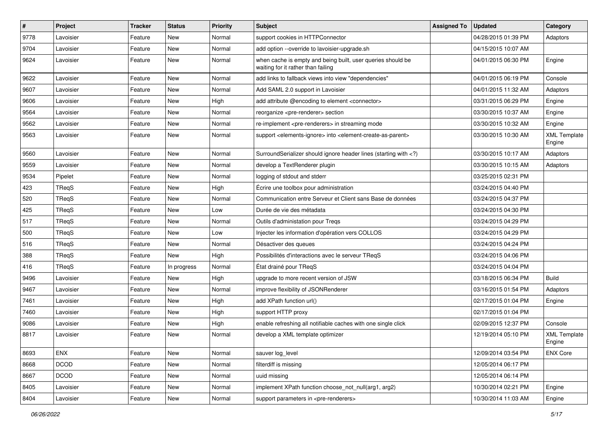| $\pmb{\#}$ | Project     | <b>Tracker</b> | <b>Status</b> | <b>Priority</b> | <b>Subject</b>                                                                                                              | <b>Assigned To</b> | <b>Updated</b>      | Category                      |
|------------|-------------|----------------|---------------|-----------------|-----------------------------------------------------------------------------------------------------------------------------|--------------------|---------------------|-------------------------------|
| 9778       | Lavoisier   | Feature        | New           | Normal          | support cookies in HTTPConnector                                                                                            |                    | 04/28/2015 01:39 PM | Adaptors                      |
| 9704       | Lavoisier   | Feature        | <b>New</b>    | Normal          | add option --override to lavoisier-upgrade.sh                                                                               |                    | 04/15/2015 10:07 AM |                               |
| 9624       | Lavoisier   | Feature        | New           | Normal          | when cache is empty and being built, user queries should be<br>waiting for it rather than failing                           |                    | 04/01/2015 06:30 PM | Engine                        |
| 9622       | Lavoisier   | Feature        | <b>New</b>    | Normal          | add links to fallback views into view "dependencies"                                                                        |                    | 04/01/2015 06:19 PM | Console                       |
| 9607       | Lavoisier   | Feature        | New           | Normal          | Add SAML 2.0 support in Lavoisier                                                                                           |                    | 04/01/2015 11:32 AM | Adaptors                      |
| 9606       | Lavoisier   | Feature        | <b>New</b>    | High            | add attribute @encoding to element <connector></connector>                                                                  |                    | 03/31/2015 06:29 PM | Engine                        |
| 9564       | Lavoisier   | Feature        | New           | Normal          | reorganize <pre-renderer> section</pre-renderer>                                                                            |                    | 03/30/2015 10:37 AM | Engine                        |
| 9562       | Lavoisier   | Feature        | New           | Normal          | re-implement <pre-renderers> in streaming mode</pre-renderers>                                                              |                    | 03/30/2015 10:32 AM | Engine                        |
| 9563       | Lavoisier   | Feature        | New           | Normal          | support <elements-ignore> into <element-create-as-parent></element-create-as-parent></elements-ignore>                      |                    | 03/30/2015 10:30 AM | <b>XML Template</b><br>Engine |
| 9560       | Lavoisier   | Feature        | <b>New</b>    | Normal          | SurroundSerializer should ignore header lines (starting with )</td <td></td> <td>03/30/2015 10:17 AM</td> <td>Adaptors</td> |                    | 03/30/2015 10:17 AM | Adaptors                      |
| 9559       | Lavoisier   | Feature        | New           | Normal          | develop a TextRenderer plugin                                                                                               |                    | 03/30/2015 10:15 AM | Adaptors                      |
| 9534       | Pipelet     | Feature        | New           | Normal          | logging of stdout and stderr                                                                                                |                    | 03/25/2015 02:31 PM |                               |
| 423        | TReqS       | Feature        | <b>New</b>    | High            | Écrire une toolbox pour administration                                                                                      |                    | 03/24/2015 04:40 PM |                               |
| 520        | TReqS       | Feature        | New           | Normal          | Communication entre Serveur et Client sans Base de données                                                                  |                    | 03/24/2015 04:37 PM |                               |
| 425        | TReqS       | Feature        | New           | Low             | Durée de vie des métadata                                                                                                   |                    | 03/24/2015 04:30 PM |                               |
| 517        | TReqS       | Feature        | New           | Normal          | Outils d'administation pour Tregs                                                                                           |                    | 03/24/2015 04:29 PM |                               |
| 500        | TReqS       | Feature        | New           | Low             | Injecter les information d'opération vers COLLOS                                                                            |                    | 03/24/2015 04:29 PM |                               |
| 516        | TReqS       | Feature        | <b>New</b>    | Normal          | Désactiver des queues                                                                                                       |                    | 03/24/2015 04:24 PM |                               |
| 388        | TReqS       | Feature        | New           | High            | Possibilités d'interactions avec le serveur TReqS                                                                           |                    | 03/24/2015 04:06 PM |                               |
| 416        | TReqS       | Feature        | In progress   | Normal          | État drainé pour TReqS                                                                                                      |                    | 03/24/2015 04:04 PM |                               |
| 9496       | Lavoisier   | Feature        | <b>New</b>    | High            | upgrade to more recent version of JSW                                                                                       |                    | 03/18/2015 06:34 PM | <b>Build</b>                  |
| 9467       | Lavoisier   | Feature        | New           | Normal          | improve flexibility of JSONRenderer                                                                                         |                    | 03/16/2015 01:54 PM | Adaptors                      |
| 7461       | Lavoisier   | Feature        | New           | High            | add XPath function url()                                                                                                    |                    | 02/17/2015 01:04 PM | Engine                        |
| 7460       | Lavoisier   | Feature        | New           | High            | support HTTP proxy                                                                                                          |                    | 02/17/2015 01:04 PM |                               |
| 9086       | Lavoisier   | Feature        | New           | High            | enable refreshing all notifiable caches with one single click                                                               |                    | 02/09/2015 12:37 PM | Console                       |
| 8817       | Lavoisier   | Feature        | New           | Normal          | develop a XML template optimizer                                                                                            |                    | 12/19/2014 05:10 PM | <b>XML Template</b><br>Engine |
| 8693       | <b>ENX</b>  | Feature        | <b>New</b>    | Normal          | sauver log_level                                                                                                            |                    | 12/09/2014 03:54 PM | <b>ENX Core</b>               |
| 8668       | <b>DCOD</b> | Feature        | <b>New</b>    | Normal          | filterdiff is missing                                                                                                       |                    | 12/05/2014 06:17 PM |                               |
| 8667       | <b>DCOD</b> | Feature        | New           | Normal          | uuid missing                                                                                                                |                    | 12/05/2014 06:14 PM |                               |
| 8405       | Lavoisier   | Feature        | New           | Normal          | implement XPath function choose_not_null(arg1, arg2)                                                                        |                    | 10/30/2014 02:21 PM | Engine                        |
| 8404       | Lavoisier   | Feature        | New           | Normal          | support parameters in <pre-renderers></pre-renderers>                                                                       |                    | 10/30/2014 11:03 AM | Engine                        |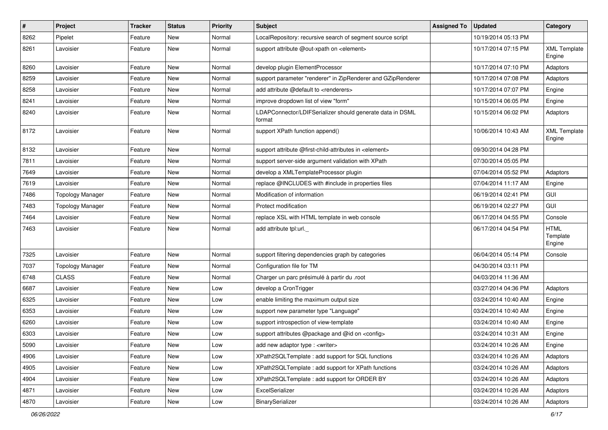| $\pmb{\#}$ | Project                 | <b>Tracker</b> | <b>Status</b> | <b>Priority</b> | Subject                                                             | <b>Assigned To</b> | <b>Updated</b>      | Category                          |
|------------|-------------------------|----------------|---------------|-----------------|---------------------------------------------------------------------|--------------------|---------------------|-----------------------------------|
| 8262       | Pipelet                 | Feature        | New           | Normal          | LocalRepository: recursive search of segment source script          |                    | 10/19/2014 05:13 PM |                                   |
| 8261       | Lavoisier               | Feature        | New           | Normal          | support attribute @out-xpath on <element></element>                 |                    | 10/17/2014 07:15 PM | <b>XML Template</b><br>Engine     |
| 8260       | Lavoisier               | Feature        | <b>New</b>    | Normal          | develop plugin ElementProcessor                                     |                    | 10/17/2014 07:10 PM | Adaptors                          |
| 8259       | Lavoisier               | Feature        | New           | Normal          | support parameter "renderer" in ZipRenderer and GZipRenderer        |                    | 10/17/2014 07:08 PM | Adaptors                          |
| 8258       | Lavoisier               | Feature        | New           | Normal          | add attribute @default to <renderers></renderers>                   |                    | 10/17/2014 07:07 PM | Engine                            |
| 8241       | Lavoisier               | Feature        | New           | Normal          | improve dropdown list of view "form"                                |                    | 10/15/2014 06:05 PM | Engine                            |
| 8240       | Lavoisier               | Feature        | New           | Normal          | LDAPConnector/LDIFSerializer should generate data in DSML<br>format |                    | 10/15/2014 06:02 PM | Adaptors                          |
| 8172       | Lavoisier               | Feature        | <b>New</b>    | Normal          | support XPath function append()                                     |                    | 10/06/2014 10:43 AM | <b>XML Template</b><br>Engine     |
| 8132       | Lavoisier               | Feature        | New           | Normal          | support attribute @first-child-attributes in <element></element>    |                    | 09/30/2014 04:28 PM |                                   |
| 7811       | Lavoisier               | Feature        | New           | Normal          | support server-side argument validation with XPath                  |                    | 07/30/2014 05:05 PM |                                   |
| 7649       | Lavoisier               | Feature        | New           | Normal          | develop a XMLTemplateProcessor plugin                               |                    | 07/04/2014 05:52 PM | Adaptors                          |
| 7619       | Lavoisier               | Feature        | New           | Normal          | replace @INCLUDES with #include in properties files                 |                    | 07/04/2014 11:17 AM | Engine                            |
| 7486       | <b>Topology Manager</b> | Feature        | New           | Normal          | Modification of information                                         |                    | 06/19/2014 02:41 PM | <b>GUI</b>                        |
| 7483       | <b>Topology Manager</b> | Feature        | New           | Normal          | Protect modification                                                |                    | 06/19/2014 02:27 PM | GUI                               |
| 7464       | Lavoisier               | Feature        | <b>New</b>    | Normal          | replace XSL with HTML template in web console                       |                    | 06/17/2014 04:55 PM | Console                           |
| 7463       | Lavoisier               | Feature        | New           | Normal          | add attribute tpl:url.                                              |                    | 06/17/2014 04:54 PM | <b>HTML</b><br>Template<br>Engine |
| 7325       | Lavoisier               | Feature        | New           | Normal          | support filtering dependencies graph by categories                  |                    | 06/04/2014 05:14 PM | Console                           |
| 7037       | <b>Topology Manager</b> | Feature        | New           | Normal          | Configuration file for TM                                           |                    | 04/30/2014 03:11 PM |                                   |
| 6748       | <b>CLASS</b>            | Feature        | New           | Normal          | Charger un parc présimulé à partir du .root                         |                    | 04/03/2014 11:36 AM |                                   |
| 6687       | Lavoisier               | Feature        | New           | Low             | develop a CronTrigger                                               |                    | 03/27/2014 04:36 PM | Adaptors                          |
| 6325       | Lavoisier               | Feature        | New           | Low             | enable limiting the maximum output size                             |                    | 03/24/2014 10:40 AM | Engine                            |
| 6353       | Lavoisier               | Feature        | New           | Low             | support new parameter type "Language"                               |                    | 03/24/2014 10:40 AM | Engine                            |
| 6260       | Lavoisier               | Feature        | New           | Low             | support introspection of view-template                              |                    | 03/24/2014 10:40 AM | Engine                            |
| 6303       | Lavoisier               | Feature        | New           | Low             | support attributes @package and @id on <config></config>            |                    | 03/24/2014 10:31 AM | Engine                            |
| 5090       | Lavoisier               | Feature        | New           | Low             | add new adaptor type : <writer></writer>                            |                    | 03/24/2014 10:26 AM | Engine                            |
| 4906       | Lavoisier               | Feature        | New           | Low             | XPath2SQLTemplate: add support for SQL functions                    |                    | 03/24/2014 10:26 AM | Adaptors                          |
| 4905       | Lavoisier               | Feature        | New           | Low             | XPath2SQLTemplate: add support for XPath functions                  |                    | 03/24/2014 10:26 AM | Adaptors                          |
| 4904       | Lavoisier               | Feature        | New           | Low             | XPath2SQLTemplate: add support for ORDER BY                         |                    | 03/24/2014 10:26 AM | Adaptors                          |
| 4871       | Lavoisier               | Feature        | New           | Low             | ExcelSerializer                                                     |                    | 03/24/2014 10:26 AM | Adaptors                          |
| 4870       | Lavoisier               | Feature        | New           | Low             | BinarySerializer                                                    |                    | 03/24/2014 10:26 AM | Adaptors                          |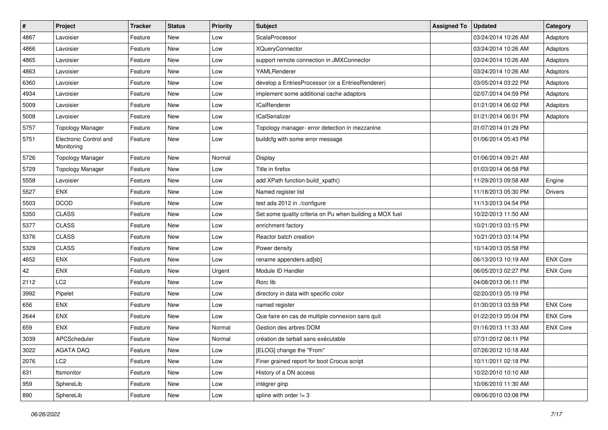| $\pmb{\#}$ | Project                              | <b>Tracker</b> | <b>Status</b> | <b>Priority</b> | Subject                                                  | <b>Assigned To</b> | <b>Updated</b>      | Category        |
|------------|--------------------------------------|----------------|---------------|-----------------|----------------------------------------------------------|--------------------|---------------------|-----------------|
| 4867       | Lavoisier                            | Feature        | New           | Low             | ScalaProcessor                                           |                    | 03/24/2014 10:26 AM | Adaptors        |
| 4866       | Lavoisier                            | Feature        | New           | Low             | <b>XQueryConnector</b>                                   |                    | 03/24/2014 10:26 AM | Adaptors        |
| 4865       | Lavoisier                            | Feature        | New           | Low             | support remote connection in JMXConnector                |                    | 03/24/2014 10:26 AM | Adaptors        |
| 4863       | Lavoisier                            | Feature        | New           | Low             | YAMLRenderer                                             |                    | 03/24/2014 10:26 AM | Adaptors        |
| 6360       | Lavoisier                            | Feature        | <b>New</b>    | Low             | develop a EntriesProcessor (or a EntriesRenderer)        |                    | 03/05/2014 03:22 PM | Adaptors        |
| 4934       | Lavoisier                            | Feature        | <b>New</b>    | Low             | implement some additional cache adaptors                 |                    | 02/07/2014 04:59 PM | Adaptors        |
| 5009       | Lavoisier                            | Feature        | <b>New</b>    | Low             | <b>ICalRenderer</b>                                      |                    | 01/21/2014 06:02 PM | Adaptors        |
| 5008       | Lavoisier                            | Feature        | New           | Low             | <b>ICalSerializer</b>                                    |                    | 01/21/2014 06:01 PM | Adaptors        |
| 5757       | <b>Topology Manager</b>              | Feature        | New           | Low             | Topology manager- error detection in mezzanine           |                    | 01/07/2014 01:29 PM |                 |
| 5751       | Electronic Control and<br>Monitoring | Feature        | <b>New</b>    | Low             | buildcfg with some error message                         |                    | 01/06/2014 05:43 PM |                 |
| 5726       | <b>Topology Manager</b>              | Feature        | <b>New</b>    | Normal          | Display                                                  |                    | 01/06/2014 09:21 AM |                 |
| 5729       | <b>Topology Manager</b>              | Feature        | New           | Low             | Title in firefox                                         |                    | 01/03/2014 06:58 PM |                 |
| 5558       | Lavoisier                            | Feature        | <b>New</b>    | Low             | add XPath function build_xpath()                         |                    | 11/29/2013 09:58 AM | Engine          |
| 5527       | <b>ENX</b>                           | Feature        | <b>New</b>    | Low             | Named register list                                      |                    | 11/18/2013 05:30 PM | <b>Drivers</b>  |
| 5503       | <b>DCOD</b>                          | Feature        | <b>New</b>    | Low             | test ada 2012 in ./configure                             |                    | 11/13/2013 04:54 PM |                 |
| 5350       | <b>CLASS</b>                         | Feature        | <b>New</b>    | Low             | Set some quality criteria on Pu when building a MOX fuel |                    | 10/22/2013 11:50 AM |                 |
| 5377       | <b>CLASS</b>                         | Feature        | <b>New</b>    | Low             | enrichment factory                                       |                    | 10/21/2013 03:15 PM |                 |
| 5376       | <b>CLASS</b>                         | Feature        | New           | Low             | Reactor batch creation                                   |                    | 10/21/2013 03:14 PM |                 |
| 5329       | <b>CLASS</b>                         | Feature        | <b>New</b>    | Low             | Power density                                            |                    | 10/14/2013 05:58 PM |                 |
| 4652       | <b>ENX</b>                           | Feature        | New           | Low             | rename appenders.ad[sb]                                  |                    | 06/13/2013 10:19 AM | <b>ENX Core</b> |
| 42         | <b>ENX</b>                           | Feature        | New           | Urgent          | Module ID Handler                                        |                    | 06/05/2013 02:27 PM | <b>ENX Core</b> |
| 2112       | LC <sub>2</sub>                      | Feature        | <b>New</b>    | Low             | Rorc lib                                                 |                    | 04/08/2013 06:11 PM |                 |
| 3992       | Pipelet                              | Feature        | New           | Low             | directory in data with specific color                    |                    | 02/20/2013 05:19 PM |                 |
| 656        | <b>ENX</b>                           | Feature        | <b>New</b>    | Low             | named register                                           |                    | 01/30/2013 03:59 PM | <b>ENX Core</b> |
| 2644       | ENX                                  | Feature        | New           | Low             | Que faire en cas de multiple connexion sans quit         |                    | 01/22/2013 05:04 PM | <b>ENX Core</b> |
| 659        | <b>ENX</b>                           | Feature        | New           | Normal          | Gestion des arbres DOM                                   |                    | 01/16/2013 11:33 AM | <b>ENX Core</b> |
| 3039       | APCScheduler                         | Feature        | <b>New</b>    | Normal          | création de tarball sans exécutable                      |                    | 07/31/2012 06:11 PM |                 |
| 3022       | AGATA DAQ                            | Feature        | New           | Low             | [ELOG] change the "From"                                 |                    | 07/26/2012 10:18 AM |                 |
| 2076       | LC <sub>2</sub>                      | Feature        | New           | Low             | Finer grained report for boot Crocus script              |                    | 10/11/2011 02:18 PM |                 |
| 631        | ftsmonitor                           | Feature        | New           | Low             | History of a DN access                                   |                    | 10/22/2010 10:10 AM |                 |
| 959        | SphereLib                            | Feature        | New           | Low             | intégrer ginp                                            |                    | 10/06/2010 11:30 AM |                 |
| 890        | SphereLib                            | Feature        | New           | Low             | spline with order $!= 3$                                 |                    | 09/06/2010 03:08 PM |                 |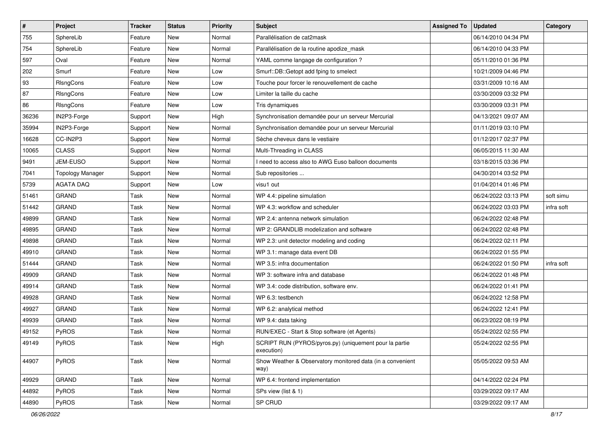| $\sharp$ | Project                 | Tracker | <b>Status</b> | <b>Priority</b> | <b>Subject</b>                                                       | <b>Assigned To</b> | <b>Updated</b>      | Category   |
|----------|-------------------------|---------|---------------|-----------------|----------------------------------------------------------------------|--------------------|---------------------|------------|
| 755      | SphereLib               | Feature | New           | Normal          | Parallélisation de cat2mask                                          |                    | 06/14/2010 04:34 PM |            |
| 754      | SphereLib               | Feature | New           | Normal          | Parallélisation de la routine apodize_mask                           |                    | 06/14/2010 04:33 PM |            |
| 597      | Oval                    | Feature | New           | Normal          | YAML comme langage de configuration ?                                |                    | 05/11/2010 01:36 PM |            |
| 202      | Smurf                   | Feature | New           | Low             | Smurf::DB::Getopt add fping to smelect                               |                    | 10/21/2009 04:46 PM |            |
| 93       | RIsngCons               | Feature | New           | Low             | Touche pour forcer le renouvellement de cache                        |                    | 03/31/2009 10:16 AM |            |
| 87       | RIsngCons               | Feature | New           | Low             | Limiter la taille du cache                                           |                    | 03/30/2009 03:32 PM |            |
| 86       | RIsngCons               | Feature | New           | Low             | Tris dynamiques                                                      |                    | 03/30/2009 03:31 PM |            |
| 36236    | IN2P3-Forge             | Support | New           | High            | Synchronisation demandée pour un serveur Mercurial                   |                    | 04/13/2021 09:07 AM |            |
| 35994    | IN2P3-Forge             | Support | New           | Normal          | Synchronisation demandée pour un serveur Mercurial                   |                    | 01/11/2019 03:10 PM |            |
| 16628    | CC-IN2P3                | Support | New           | Normal          | Sèche cheveux dans le vestiaire                                      |                    | 01/12/2017 02:37 PM |            |
| 10065    | <b>CLASS</b>            | Support | New           | Normal          | Multi-Threading in CLASS                                             |                    | 06/05/2015 11:30 AM |            |
| 9491     | JEM-EUSO                | Support | New           | Normal          | I need to access also to AWG Euso balloon documents                  |                    | 03/18/2015 03:36 PM |            |
| 7041     | <b>Topology Manager</b> | Support | New           | Normal          | Sub repositories                                                     |                    | 04/30/2014 03:52 PM |            |
| 5739     | <b>AGATA DAQ</b>        | Support | New           | Low             | visu1 out                                                            |                    | 01/04/2014 01:46 PM |            |
| 51461    | <b>GRAND</b>            | Task    | New           | Normal          | WP 4.4: pipeline simulation                                          |                    | 06/24/2022 03:13 PM | soft simu  |
| 51442    | GRAND                   | Task    | New           | Normal          | WP 4.3: workflow and scheduler                                       |                    | 06/24/2022 03:03 PM | infra soft |
| 49899    | <b>GRAND</b>            | Task    | New           | Normal          | WP 2.4: antenna network simulation                                   |                    | 06/24/2022 02:48 PM |            |
| 49895    | <b>GRAND</b>            | Task    | New           | Normal          | WP 2: GRANDLIB modelization and software                             |                    | 06/24/2022 02:48 PM |            |
| 49898    | <b>GRAND</b>            | Task    | New           | Normal          | WP 2.3: unit detector modeling and coding                            |                    | 06/24/2022 02:11 PM |            |
| 49910    | <b>GRAND</b>            | Task    | New           | Normal          | WP 3.1: manage data event DB                                         |                    | 06/24/2022 01:55 PM |            |
| 51444    | <b>GRAND</b>            | Task    | New           | Normal          | WP 3.5: infra documentation                                          |                    | 06/24/2022 01:50 PM | infra soft |
| 49909    | <b>GRAND</b>            | Task    | New           | Normal          | WP 3: software infra and database                                    |                    | 06/24/2022 01:48 PM |            |
| 49914    | <b>GRAND</b>            | Task    | New           | Normal          | WP 3.4: code distribution, software env.                             |                    | 06/24/2022 01:41 PM |            |
| 49928    | <b>GRAND</b>            | Task    | New           | Normal          | WP 6.3: testbench                                                    |                    | 06/24/2022 12:58 PM |            |
| 49927    | <b>GRAND</b>            | Task    | New           | Normal          | WP 6.2: analytical method                                            |                    | 06/24/2022 12:41 PM |            |
| 49939    | <b>GRAND</b>            | Task    | New           | Normal          | WP 9.4: data taking                                                  |                    | 06/23/2022 08:19 PM |            |
| 49152    | PyROS                   | Task    | New           | Normal          | RUN/EXEC - Start & Stop software (et Agents)                         |                    | 05/24/2022 02:55 PM |            |
| 49149    | PyROS                   | Task    | New           | High            | SCRIPT RUN (PYROS/pyros.py) (uniquement pour la partie<br>execution) |                    | 05/24/2022 02:55 PM |            |
| 44907    | PyROS                   | Task    | New           | Normal          | Show Weather & Observatory monitored data (in a convenient<br>way)   |                    | 05/05/2022 09:53 AM |            |
| 49929    | <b>GRAND</b>            | Task    | New           | Normal          | WP 6.4: frontend implementation                                      |                    | 04/14/2022 02:24 PM |            |
| 44892    | PyROS                   | Task    | New           | Normal          | SPs view (list & 1)                                                  |                    | 03/29/2022 09:17 AM |            |
| 44890    | PyROS                   | Task    | New           | Normal          | SP CRUD                                                              |                    | 03/29/2022 09:17 AM |            |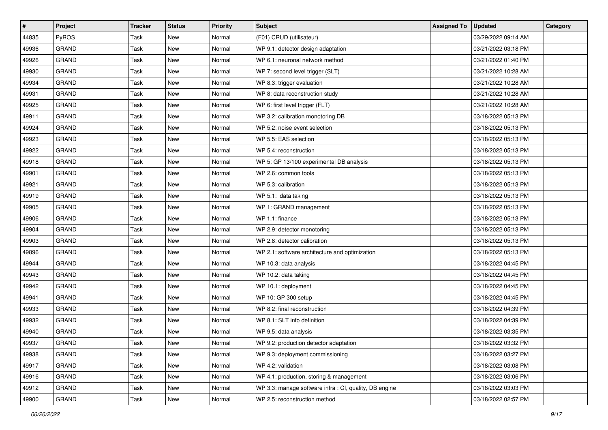| $\sharp$ | Project      | Tracker | <b>Status</b> | Priority | Subject                                                | <b>Assigned To</b> | <b>Updated</b>      | Category |
|----------|--------------|---------|---------------|----------|--------------------------------------------------------|--------------------|---------------------|----------|
| 44835    | PyROS        | Task    | New           | Normal   | (F01) CRUD (utilisateur)                               |                    | 03/29/2022 09:14 AM |          |
| 49936    | <b>GRAND</b> | Task    | New           | Normal   | WP 9.1: detector design adaptation                     |                    | 03/21/2022 03:18 PM |          |
| 49926    | <b>GRAND</b> | Task    | New           | Normal   | WP 6.1: neuronal network method                        |                    | 03/21/2022 01:40 PM |          |
| 49930    | <b>GRAND</b> | Task    | New           | Normal   | WP 7: second level trigger (SLT)                       |                    | 03/21/2022 10:28 AM |          |
| 49934    | <b>GRAND</b> | Task    | New           | Normal   | WP 8.3: trigger evaluation                             |                    | 03/21/2022 10:28 AM |          |
| 49931    | <b>GRAND</b> | Task    | New           | Normal   | WP 8: data reconstruction study                        |                    | 03/21/2022 10:28 AM |          |
| 49925    | <b>GRAND</b> | Task    | New           | Normal   | WP 6: first level trigger (FLT)                        |                    | 03/21/2022 10:28 AM |          |
| 49911    | <b>GRAND</b> | Task    | New           | Normal   | WP 3.2: calibration monotoring DB                      |                    | 03/18/2022 05:13 PM |          |
| 49924    | <b>GRAND</b> | Task    | New           | Normal   | WP 5.2: noise event selection                          |                    | 03/18/2022 05:13 PM |          |
| 49923    | <b>GRAND</b> | Task    | New           | Normal   | WP 5.5: EAS selection                                  |                    | 03/18/2022 05:13 PM |          |
| 49922    | <b>GRAND</b> | Task    | New           | Normal   | WP 5.4: reconstruction                                 |                    | 03/18/2022 05:13 PM |          |
| 49918    | <b>GRAND</b> | Task    | New           | Normal   | WP 5: GP 13/100 experimental DB analysis               |                    | 03/18/2022 05:13 PM |          |
| 49901    | <b>GRAND</b> | Task    | New           | Normal   | WP 2.6: common tools                                   |                    | 03/18/2022 05:13 PM |          |
| 49921    | <b>GRAND</b> | Task    | New           | Normal   | WP 5.3: calibration                                    |                    | 03/18/2022 05:13 PM |          |
| 49919    | <b>GRAND</b> | Task    | New           | Normal   | WP 5.1: data taking                                    |                    | 03/18/2022 05:13 PM |          |
| 49905    | GRAND        | Task    | New           | Normal   | WP 1: GRAND management                                 |                    | 03/18/2022 05:13 PM |          |
| 49906    | <b>GRAND</b> | Task    | New           | Normal   | WP 1.1: finance                                        |                    | 03/18/2022 05:13 PM |          |
| 49904    | <b>GRAND</b> | Task    | New           | Normal   | WP 2.9: detector monotoring                            |                    | 03/18/2022 05:13 PM |          |
| 49903    | <b>GRAND</b> | Task    | New           | Normal   | WP 2.8: detector calibration                           |                    | 03/18/2022 05:13 PM |          |
| 49896    | <b>GRAND</b> | Task    | New           | Normal   | WP 2.1: software architecture and optimization         |                    | 03/18/2022 05:13 PM |          |
| 49944    | <b>GRAND</b> | Task    | New           | Normal   | WP 10.3: data analysis                                 |                    | 03/18/2022 04:45 PM |          |
| 49943    | <b>GRAND</b> | Task    | New           | Normal   | WP 10.2: data taking                                   |                    | 03/18/2022 04:45 PM |          |
| 49942    | <b>GRAND</b> | Task    | New           | Normal   | WP 10.1: deployment                                    |                    | 03/18/2022 04:45 PM |          |
| 49941    | <b>GRAND</b> | Task    | New           | Normal   | WP 10: GP 300 setup                                    |                    | 03/18/2022 04:45 PM |          |
| 49933    | <b>GRAND</b> | Task    | New           | Normal   | WP 8.2: final reconstruction                           |                    | 03/18/2022 04:39 PM |          |
| 49932    | <b>GRAND</b> | Task    | New           | Normal   | WP 8.1: SLT info definition                            |                    | 03/18/2022 04:39 PM |          |
| 49940    | <b>GRAND</b> | Task    | New           | Normal   | WP 9.5: data analysis                                  |                    | 03/18/2022 03:35 PM |          |
| 49937    | GRAND        | Task    | New           | Normal   | WP 9.2: production detector adaptation                 |                    | 03/18/2022 03:32 PM |          |
| 49938    | GRAND        | Task    | New           | Normal   | WP 9.3: deployment commissioning                       |                    | 03/18/2022 03:27 PM |          |
| 49917    | <b>GRAND</b> | Task    | New           | Normal   | WP 4.2: validation                                     |                    | 03/18/2022 03:08 PM |          |
| 49916    | <b>GRAND</b> | Task    | New           | Normal   | WP 4.1: production, storing & management               |                    | 03/18/2022 03:06 PM |          |
| 49912    | GRAND        | Task    | New           | Normal   | WP 3.3: manage software infra : CI, quality, DB engine |                    | 03/18/2022 03:03 PM |          |
| 49900    | GRAND        | Task    | New           | Normal   | WP 2.5: reconstruction method                          |                    | 03/18/2022 02:57 PM |          |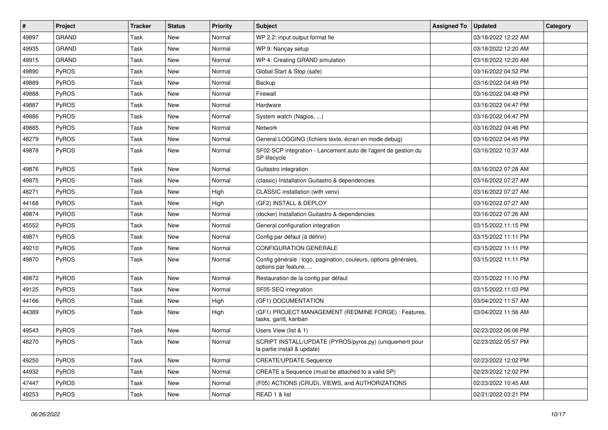| #     | Project      | <b>Tracker</b> | <b>Status</b> | <b>Priority</b> | Subject                                                                                  | <b>Assigned To</b> | <b>Updated</b>      | Category |
|-------|--------------|----------------|---------------|-----------------|------------------------------------------------------------------------------------------|--------------------|---------------------|----------|
| 49897 | <b>GRAND</b> | Task           | New           | Normal          | WP 2.2: input output format fie                                                          |                    | 03/18/2022 12:22 AM |          |
| 49935 | <b>GRAND</b> | Task           | New           | Normal          | WP 9: Nançay setup                                                                       |                    | 03/18/2022 12:20 AM |          |
| 49915 | <b>GRAND</b> | Task           | New           | Normal          | WP 4: Creating GRAND simulation                                                          |                    | 03/18/2022 12:20 AM |          |
| 49890 | PyROS        | Task           | New           | Normal          | Global Start & Stop (safe)                                                               |                    | 03/16/2022 04:52 PM |          |
| 49889 | PyROS        | Task           | New           | Normal          | Backup                                                                                   |                    | 03/16/2022 04:49 PM |          |
| 49888 | PyROS        | Task           | New           | Normal          | Firewall                                                                                 |                    | 03/16/2022 04:48 PM |          |
| 49887 | PyROS        | Task           | New           | Normal          | Hardware                                                                                 |                    | 03/16/2022 04:47 PM |          |
| 49886 | PyROS        | Task           | New           | Normal          | System watch (Nagios, )                                                                  |                    | 03/16/2022 04:47 PM |          |
| 49885 | PyROS        | Task           | New           | Normal          | Network                                                                                  |                    | 03/16/2022 04:46 PM |          |
| 48279 | PyROS        | Task           | New           | Normal          | General LOGGING (fichiers texte, écran en mode debug)                                    |                    | 03/16/2022 04:45 PM |          |
| 49878 | PyROS        | Task           | New           | Normal          | SF02-SCP integration - Lancement auto de l'agent de gestion du<br>SP lifecycle           |                    | 03/16/2022 10:37 AM |          |
| 49876 | PyROS        | Task           | New           | Normal          | Guitastro integration                                                                    |                    | 03/16/2022 07:28 AM |          |
| 49875 | PyROS        | Task           | New           | Normal          | (classic) Installation Guitastro & dependencies                                          |                    | 03/16/2022 07:27 AM |          |
| 48271 | PyROS        | Task           | New           | High            | CLASSIC installation (with venv)                                                         |                    | 03/16/2022 07:27 AM |          |
| 44168 | PyROS        | Task           | New           | High            | (GF2) INSTALL & DEPLOY                                                                   |                    | 03/16/2022 07:27 AM |          |
| 49874 | PyROS        | Task           | New           | Normal          | (docker) Installation Guitastro & dependencies                                           |                    | 03/16/2022 07:26 AM |          |
| 45552 | PyROS        | Task           | New           | Normal          | General configuration integration                                                        |                    | 03/15/2022 11:15 PM |          |
| 49871 | PyROS        | Task           | New           | Normal          | Config par défaut (à définir)                                                            |                    | 03/15/2022 11:11 PM |          |
| 49210 | PyROS        | Task           | New           | Normal          | CONFIGURATION GENERALE                                                                   |                    | 03/15/2022 11:11 PM |          |
| 49870 | <b>PyROS</b> | Task           | New           | Normal          | Config générale : logo, pagination, couleurs, options générales,<br>options par feature, |                    | 03/15/2022 11:11 PM |          |
| 49872 | PyROS        | Task           | New           | Normal          | Restauration de la config par défaut                                                     |                    | 03/15/2022 11:10 PM |          |
| 49125 | PyROS        | Task           | New           | Normal          | SF05-SEQ integration                                                                     |                    | 03/15/2022 11:03 PM |          |
| 44166 | PyROS        | Task           | New           | High            | (GF1) DOCUMENTATION                                                                      |                    | 03/04/2022 11:57 AM |          |
| 44389 | PyROS        | Task           | New           | High            | (GF1) PROJECT MANAGEMENT (REDMINE FORGE) : Features,<br>tasks, gantt, kanban             |                    | 03/04/2022 11:56 AM |          |
| 49543 | PyROS        | Task           | New           | Normal          | Users View (list & 1)                                                                    |                    | 02/23/2022 06:06 PM |          |
| 48270 | PyROS        | Task           | New           | Normal          | SCRIPT INSTALL/UPDATE (PYROS/pyros.py) (uniquement pour<br>la partie install & update)   |                    | 02/23/2022 05:57 PM |          |
| 49250 | PyROS        | Task           | New           | Normal          | <b>CREATE/UPDATE Sequence</b>                                                            |                    | 02/23/2022 12:02 PM |          |
| 44932 | PyROS        | Task           | New           | Normal          | CREATE a Sequence (must be attached to a valid SP)                                       |                    | 02/23/2022 12:02 PM |          |
| 47447 | PyROS        | Task           | New           | Normal          | (F05) ACTIONS (CRUD), VIEWS, and AUTHORIZATIONS                                          |                    | 02/23/2022 10:45 AM |          |
| 49253 | PyROS        | Task           | New           | Normal          | READ 1 & list                                                                            |                    | 02/21/2022 03:21 PM |          |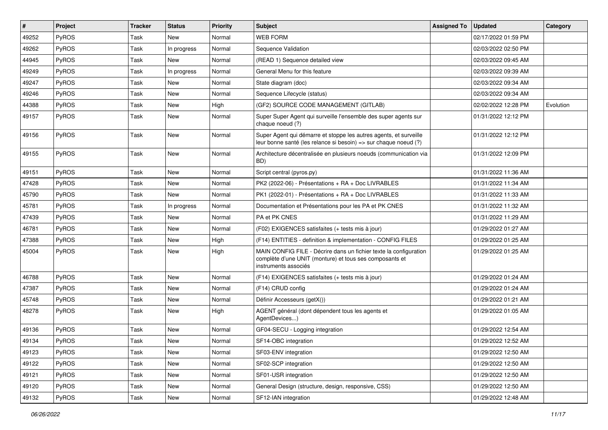| $\vert$ # | Project      | Tracker | <b>Status</b> | Priority | Subject                                                                                                                                              | <b>Assigned To</b> | <b>Updated</b>      | Category  |
|-----------|--------------|---------|---------------|----------|------------------------------------------------------------------------------------------------------------------------------------------------------|--------------------|---------------------|-----------|
| 49252     | PyROS        | Task    | New           | Normal   | WEB FORM                                                                                                                                             |                    | 02/17/2022 01:59 PM |           |
| 49262     | <b>PyROS</b> | Task    | In progress   | Normal   | Sequence Validation                                                                                                                                  |                    | 02/03/2022 02:50 PM |           |
| 44945     | <b>PyROS</b> | Task    | New           | Normal   | (READ 1) Sequence detailed view                                                                                                                      |                    | 02/03/2022 09:45 AM |           |
| 49249     | PyROS        | Task    | In progress   | Normal   | General Menu for this feature                                                                                                                        |                    | 02/03/2022 09:39 AM |           |
| 49247     | PyROS        | Task    | New           | Normal   | State diagram (doc)                                                                                                                                  |                    | 02/03/2022 09:34 AM |           |
| 49246     | PyROS        | Task    | New           | Normal   | Sequence Lifecycle (status)                                                                                                                          |                    | 02/03/2022 09:34 AM |           |
| 44388     | PyROS        | Task    | <b>New</b>    | High     | (GF2) SOURCE CODE MANAGEMENT (GITLAB)                                                                                                                |                    | 02/02/2022 12:28 PM | Evolution |
| 49157     | <b>PyROS</b> | Task    | New           | Normal   | Super Super Agent qui surveille l'ensemble des super agents sur<br>chaque noeud (?)                                                                  |                    | 01/31/2022 12:12 PM |           |
| 49156     | PyROS        | Task    | New           | Normal   | Super Agent qui démarre et stoppe les autres agents, et surveille<br>leur bonne santé (les relance si besoin) => sur chaque noeud (?)                |                    | 01/31/2022 12:12 PM |           |
| 49155     | PyROS        | Task    | New           | Normal   | Architecture décentralisée en plusieurs noeuds (communication via<br>BD)                                                                             |                    | 01/31/2022 12:09 PM |           |
| 49151     | <b>PyROS</b> | Task    | New           | Normal   | Script central (pyros.py)                                                                                                                            |                    | 01/31/2022 11:36 AM |           |
| 47428     | PyROS        | Task    | New           | Normal   | PK2 (2022-06) - Présentations + RA + Doc LIVRABLES                                                                                                   |                    | 01/31/2022 11:34 AM |           |
| 45790     | PyROS        | Task    | New           | Normal   | PK1 (2022-01) - Présentations + RA + Doc LIVRABLES                                                                                                   |                    | 01/31/2022 11:33 AM |           |
| 45781     | PyROS        | Task    | In progress   | Normal   | Documentation et Présentations pour les PA et PK CNES                                                                                                |                    | 01/31/2022 11:32 AM |           |
| 47439     | PyROS        | Task    | New           | Normal   | PA et PK CNES                                                                                                                                        |                    | 01/31/2022 11:29 AM |           |
| 46781     | <b>PyROS</b> | Task    | New           | Normal   | (F02) EXIGENCES satisfaites (+ tests mis à jour)                                                                                                     |                    | 01/29/2022 01:27 AM |           |
| 47388     | PyROS        | Task    | New           | High     | (F14) ENTITIES - definition & implementation - CONFIG FILES                                                                                          |                    | 01/29/2022 01:25 AM |           |
| 45004     | PyROS        | Task    | New           | High     | MAIN CONFIG FILE - Décrire dans un fichier texte la configuration<br>complète d'une UNIT (monture) et tous ses composants et<br>instruments associés |                    | 01/29/2022 01:25 AM |           |
| 46788     | PyROS        | Task    | New           | Normal   | (F14) EXIGENCES satisfaites (+ tests mis à jour)                                                                                                     |                    | 01/29/2022 01:24 AM |           |
| 47387     | PyROS        | Task    | New           | Normal   | (F14) CRUD config                                                                                                                                    |                    | 01/29/2022 01:24 AM |           |
| 45748     | PyROS        | Task    | New           | Normal   | Définir Accesseurs (getX())                                                                                                                          |                    | 01/29/2022 01:21 AM |           |
| 48278     | <b>PyROS</b> | Task    | New           | High     | AGENT général (dont dépendent tous les agents et<br>AgentDevices)                                                                                    |                    | 01/29/2022 01:05 AM |           |
| 49136     | PyROS        | Task    | New           | Normal   | GF04-SECU - Logging integration                                                                                                                      |                    | 01/29/2022 12:54 AM |           |
| 49134     | PyROS        | Task    | New           | Normal   | SF14-OBC integration                                                                                                                                 |                    | 01/29/2022 12:52 AM |           |
| 49123     | PyROS        | Task    | New           | Normal   | SF03-ENV integration                                                                                                                                 |                    | 01/29/2022 12:50 AM |           |
| 49122     | PyROS        | Task    | New           | Normal   | SF02-SCP integration                                                                                                                                 |                    | 01/29/2022 12:50 AM |           |
| 49121     | PyROS        | Task    | New           | Normal   | SF01-USR integration                                                                                                                                 |                    | 01/29/2022 12:50 AM |           |
| 49120     | PyROS        | Task    | New           | Normal   | General Design (structure, design, responsive, CSS)                                                                                                  |                    | 01/29/2022 12:50 AM |           |
| 49132     | PyROS        | Task    | New           | Normal   | SF12-IAN integration                                                                                                                                 |                    | 01/29/2022 12:48 AM |           |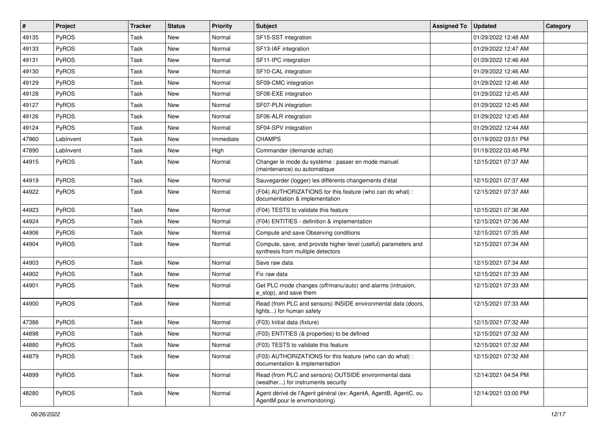| $\vert$ # | Project   | <b>Tracker</b> | <b>Status</b> | <b>Priority</b> | Subject                                                                                              | <b>Assigned To</b> | <b>Updated</b>      | Category |
|-----------|-----------|----------------|---------------|-----------------|------------------------------------------------------------------------------------------------------|--------------------|---------------------|----------|
| 49135     | PyROS     | Task           | New           | Normal          | SF15-SST integration                                                                                 |                    | 01/29/2022 12:48 AM |          |
| 49133     | PyROS     | Task           | <b>New</b>    | Normal          | SF13-IAF integration                                                                                 |                    | 01/29/2022 12:47 AM |          |
| 49131     | PyROS     | Task           | New           | Normal          | SF11-IPC integration                                                                                 |                    | 01/29/2022 12:46 AM |          |
| 49130     | PyROS     | Task           | New           | Normal          | SF10-CAL integration                                                                                 |                    | 01/29/2022 12:46 AM |          |
| 49129     | PyROS     | Task           | <b>New</b>    | Normal          | SF09-CMC integration                                                                                 |                    | 01/29/2022 12:46 AM |          |
| 49128     | PyROS     | Task           | <b>New</b>    | Normal          | SF08-EXE integration                                                                                 |                    | 01/29/2022 12:45 AM |          |
| 49127     | PyROS     | Task           | New           | Normal          | SF07-PLN integration                                                                                 |                    | 01/29/2022 12:45 AM |          |
| 49126     | PyROS     | Task           | New           | Normal          | SF06-ALR integration                                                                                 |                    | 01/29/2022 12:45 AM |          |
| 49124     | PyROS     | Task           | New           | Normal          | SF04-SPV integration                                                                                 |                    | 01/29/2022 12:44 AM |          |
| 47960     | LabInvent | Task           | <b>New</b>    | Immediate       | <b>CHAMPS</b>                                                                                        |                    | 01/19/2022 03:51 PM |          |
| 47890     | LabInvent | Task           | New           | High            | Commander (demande achat)                                                                            |                    | 01/19/2022 03:48 PM |          |
| 44915     | PyROS     | Task           | New           | Normal          | Changer le mode du système : passer en mode manuel<br>(maintenance) ou automatique                   |                    | 12/15/2021 07:37 AM |          |
| 44919     | PyROS     | Task           | <b>New</b>    | Normal          | Sauvegarder (logger) les différents changements d'état                                               |                    | 12/15/2021 07:37 AM |          |
| 44922     | PyROS     | Task           | New           | Normal          | (F04) AUTHORIZATIONS for this feature (who can do what) :<br>documentation & implementation          |                    | 12/15/2021 07:37 AM |          |
| 44923     | PyROS     | Task           | <b>New</b>    | Normal          | (F04) TESTS to validate this feature                                                                 |                    | 12/15/2021 07:36 AM |          |
| 44924     | PyROS     | Task           | <b>New</b>    | Normal          | (F04) ENTITIES - definition & implementation                                                         |                    | 12/15/2021 07:36 AM |          |
| 44906     | PyROS     | Task           | New           | Normal          | Compute and save Observing conditions                                                                |                    | 12/15/2021 07:35 AM |          |
| 44904     | PyROS     | Task           | New           | Normal          | Compute, save, and provide higher level (useful) parameters and<br>synthesis from multiple detectors |                    | 12/15/2021 07:34 AM |          |
| 44903     | PyROS     | Task           | <b>New</b>    | Normal          | Save raw data                                                                                        |                    | 12/15/2021 07:34 AM |          |
| 44902     | PyROS     | Task           | <b>New</b>    | Normal          | Fix raw data                                                                                         |                    | 12/15/2021 07:33 AM |          |
| 44901     | PyROS     | Task           | New           | Normal          | Get PLC mode changes (off/manu/auto) and alarms (intrusion,<br>e_stop), and save them                |                    | 12/15/2021 07:33 AM |          |
| 44900     | PyROS     | Task           | <b>New</b>    | Normal          | Read (from PLC and sensors) INSIDE environmental data (doors,<br>lights) for human safety            |                    | 12/15/2021 07:33 AM |          |
| 47386     | PyROS     | Task           | <b>New</b>    | Normal          | (F03) Initial data (fixture)                                                                         |                    | 12/15/2021 07:32 AM |          |
| 44898     | PyROS     | Task           | New           | Normal          | (F03) ENTITIES (& properties) to be defined                                                          |                    | 12/15/2021 07:32 AM |          |
| 44880     | PyROS     | Task           | New           | Normal          | (F03) TESTS to validate this feature                                                                 |                    | 12/15/2021 07:32 AM |          |
| 44879     | PyROS     | Task           | New           | Normal          | (F03) AUTHORIZATIONS for this feature (who can do what) :<br>documentation & implementation          |                    | 12/15/2021 07:32 AM |          |
| 44899     | PyROS     | Task           | New           | Normal          | Read (from PLC and sensors) OUTSIDE environmental data<br>(weather) for instruments security         |                    | 12/14/2021 04:54 PM |          |
| 48280     | PyROS     | Task           | New           | Normal          | Agent dérivé de l'Agent général (ex: AgentA, AgentB, AgentC, ou<br>AgentM pour le envmonitoring)     |                    | 12/14/2021 03:00 PM |          |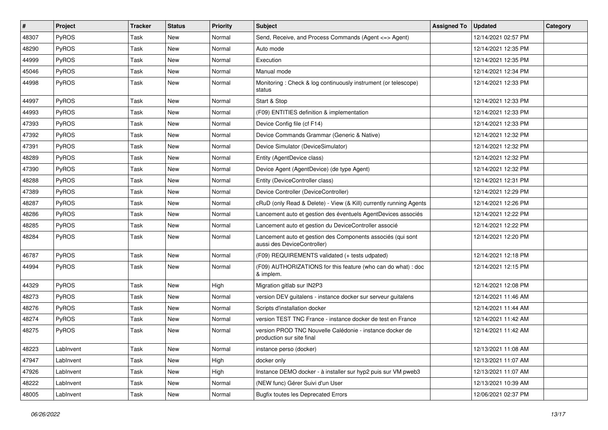| $\#$  | Project   | <b>Tracker</b> | <b>Status</b> | <b>Priority</b> | <b>Subject</b>                                                                             | <b>Assigned To</b> | <b>Updated</b>      | Category |
|-------|-----------|----------------|---------------|-----------------|--------------------------------------------------------------------------------------------|--------------------|---------------------|----------|
| 48307 | PyROS     | Task           | New           | Normal          | Send, Receive, and Process Commands (Agent <= > Agent)                                     |                    | 12/14/2021 02:57 PM |          |
| 48290 | PyROS     | Task           | New           | Normal          | Auto mode                                                                                  |                    | 12/14/2021 12:35 PM |          |
| 44999 | PyROS     | Task           | New           | Normal          | Execution                                                                                  |                    | 12/14/2021 12:35 PM |          |
| 45046 | PyROS     | Task           | New           | Normal          | Manual mode                                                                                |                    | 12/14/2021 12:34 PM |          |
| 44998 | PyROS     | Task           | New           | Normal          | Monitoring: Check & log continuously instrument (or telescope)<br>status                   |                    | 12/14/2021 12:33 PM |          |
| 44997 | PyROS     | Task           | <b>New</b>    | Normal          | Start & Stop                                                                               |                    | 12/14/2021 12:33 PM |          |
| 44993 | PyROS     | Task           | New           | Normal          | (F09) ENTITIES definition & implementation                                                 |                    | 12/14/2021 12:33 PM |          |
| 47393 | PyROS     | Task           | New           | Normal          | Device Config file (cf F14)                                                                |                    | 12/14/2021 12:33 PM |          |
| 47392 | PyROS     | Task           | New           | Normal          | Device Commands Grammar (Generic & Native)                                                 |                    | 12/14/2021 12:32 PM |          |
| 47391 | PyROS     | Task           | New           | Normal          | Device Simulator (DeviceSimulator)                                                         |                    | 12/14/2021 12:32 PM |          |
| 48289 | PyROS     | Task           | New           | Normal          | Entity (AgentDevice class)                                                                 |                    | 12/14/2021 12:32 PM |          |
| 47390 | PyROS     | Task           | New           | Normal          | Device Agent (AgentDevice) (de type Agent)                                                 |                    | 12/14/2021 12:32 PM |          |
| 48288 | PyROS     | Task           | New           | Normal          | Entity (DeviceController class)                                                            |                    | 12/14/2021 12:31 PM |          |
| 47389 | PyROS     | Task           | New           | Normal          | Device Controller (DeviceController)                                                       |                    | 12/14/2021 12:29 PM |          |
| 48287 | PyROS     | Task           | New           | Normal          | cRuD (only Read & Delete) - View (& Kill) currently running Agents                         |                    | 12/14/2021 12:26 PM |          |
| 48286 | PyROS     | Task           | New           | Normal          | Lancement auto et gestion des éventuels AgentDevices associés                              |                    | 12/14/2021 12:22 PM |          |
| 48285 | PyROS     | Task           | New           | Normal          | Lancement auto et gestion du DeviceController associé                                      |                    | 12/14/2021 12:22 PM |          |
| 48284 | PyROS     | Task           | New           | Normal          | Lancement auto et gestion des Components associés (qui sont<br>aussi des DeviceController) |                    | 12/14/2021 12:20 PM |          |
| 46787 | PyROS     | Task           | New           | Normal          | (F09) REQUIREMENTS validated (+ tests udpated)                                             |                    | 12/14/2021 12:18 PM |          |
| 44994 | PyROS     | Task           | New           | Normal          | (F09) AUTHORIZATIONS for this feature (who can do what) : doc<br>& implem.                 |                    | 12/14/2021 12:15 PM |          |
| 44329 | PyROS     | Task           | New           | High            | Migration gitlab sur IN2P3                                                                 |                    | 12/14/2021 12:08 PM |          |
| 48273 | PyROS     | Task           | New           | Normal          | version DEV guitalens - instance docker sur serveur guitalens                              |                    | 12/14/2021 11:46 AM |          |
| 48276 | PyROS     | Task           | New           | Normal          | Scripts d'installation docker                                                              |                    | 12/14/2021 11:44 AM |          |
| 48274 | PyROS     | Task           | New           | Normal          | version TEST TNC France - instance docker de test en France                                |                    | 12/14/2021 11:42 AM |          |
| 48275 | PyROS     | Task           | New           | Normal          | version PROD TNC Nouvelle Calédonie - instance docker de<br>production sur site final      |                    | 12/14/2021 11:42 AM |          |
| 48223 | LabInvent | Task           | New           | Normal          | instance perso (docker)                                                                    |                    | 12/13/2021 11:08 AM |          |
| 47947 | LabInvent | Task           | New           | High            | docker only                                                                                |                    | 12/13/2021 11:07 AM |          |
| 47926 | LabInvent | Task           | New           | High            | Instance DEMO docker - à installer sur hyp2 puis sur VM pweb3                              |                    | 12/13/2021 11:07 AM |          |
| 48222 | LabInvent | Task           | New           | Normal          | (NEW func) Gérer Suivi d'un User                                                           |                    | 12/13/2021 10:39 AM |          |
| 48005 | LabInvent | Task           | New           | Normal          | <b>Bugfix toutes les Deprecated Errors</b>                                                 |                    | 12/06/2021 02:37 PM |          |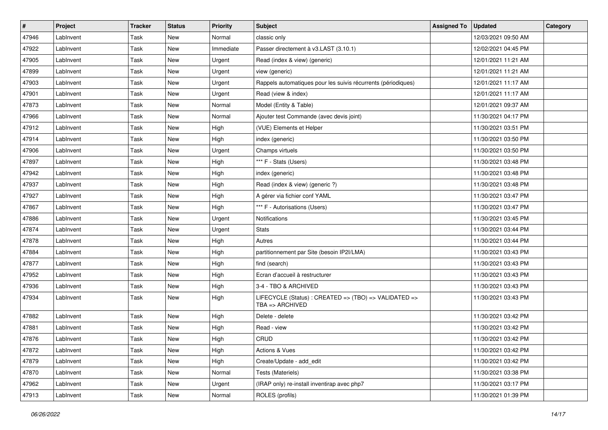| #     | Project   | Tracker | <b>Status</b> | <b>Priority</b> | Subject                                                                             | <b>Assigned To</b> | <b>Updated</b>      | Category |
|-------|-----------|---------|---------------|-----------------|-------------------------------------------------------------------------------------|--------------------|---------------------|----------|
| 47946 | LabInvent | Task    | New           | Normal          | classic only                                                                        |                    | 12/03/2021 09:50 AM |          |
| 47922 | LabInvent | Task    | New           | Immediate       | Passer directement à v3.LAST (3.10.1)                                               |                    | 12/02/2021 04:45 PM |          |
| 47905 | LabInvent | Task    | New           | Urgent          | Read (index & view) (generic)                                                       |                    | 12/01/2021 11:21 AM |          |
| 47899 | LabInvent | Task    | New           | Urgent          | view (generic)                                                                      |                    | 12/01/2021 11:21 AM |          |
| 47903 | LabInvent | Task    | New           | Urgent          | Rappels automatiques pour les suivis récurrents (périodiques)                       |                    | 12/01/2021 11:17 AM |          |
| 47901 | LabInvent | Task    | New           | Urgent          | Read (view & index)                                                                 |                    | 12/01/2021 11:17 AM |          |
| 47873 | LabInvent | Task    | New           | Normal          | Model (Entity & Table)                                                              |                    | 12/01/2021 09:37 AM |          |
| 47966 | LabInvent | Task    | New           | Normal          | Ajouter test Commande (avec devis joint)                                            |                    | 11/30/2021 04:17 PM |          |
| 47912 | LabInvent | Task    | New           | High            | (VUE) Elements et Helper                                                            |                    | 11/30/2021 03:51 PM |          |
| 47914 | LabInvent | Task    | New           | High            | index (generic)                                                                     |                    | 11/30/2021 03:50 PM |          |
| 47906 | LabInvent | Task    | New           | Urgent          | Champs virtuels                                                                     |                    | 11/30/2021 03:50 PM |          |
| 47897 | LabInvent | Task    | New           | High            | *** F - Stats (Users)                                                               |                    | 11/30/2021 03:48 PM |          |
| 47942 | LabInvent | Task    | New           | High            | index (generic)                                                                     |                    | 11/30/2021 03:48 PM |          |
| 47937 | LabInvent | Task    | New           | High            | Read (index & view) (generic ?)                                                     |                    | 11/30/2021 03:48 PM |          |
| 47927 | LabInvent | Task    | New           | High            | A gérer via fichier conf YAML                                                       |                    | 11/30/2021 03:47 PM |          |
| 47867 | LabInvent | Task    | New           | High            | *** F - Autorisations (Users)                                                       |                    | 11/30/2021 03:47 PM |          |
| 47886 | LabInvent | Task    | New           | Urgent          | Notifications                                                                       |                    | 11/30/2021 03:45 PM |          |
| 47874 | LabInvent | Task    | New           | Urgent          | <b>Stats</b>                                                                        |                    | 11/30/2021 03:44 PM |          |
| 47878 | LabInvent | Task    | New           | High            | Autres                                                                              |                    | 11/30/2021 03:44 PM |          |
| 47884 | LabInvent | Task    | New           | High            | partitionnement par Site (besoin IP2I/LMA)                                          |                    | 11/30/2021 03:43 PM |          |
| 47877 | LabInvent | Task    | New           | High            | find (search)                                                                       |                    | 11/30/2021 03:43 PM |          |
| 47952 | LabInvent | Task    | New           | High            | Ecran d'accueil à restructurer                                                      |                    | 11/30/2021 03:43 PM |          |
| 47936 | LabInvent | Task    | New           | High            | 3-4 - TBO & ARCHIVED                                                                |                    | 11/30/2021 03:43 PM |          |
| 47934 | LabInvent | Task    | New           | High            | LIFECYCLE (Status) : CREATED => (TBO) => VALIDATED =><br>$TBA \Rightarrow ARCHIVED$ |                    | 11/30/2021 03:43 PM |          |
| 47882 | LabInvent | Task    | New           | High            | Delete - delete                                                                     |                    | 11/30/2021 03:42 PM |          |
| 47881 | LabInvent | Task    | New           | High            | Read - view                                                                         |                    | 11/30/2021 03:42 PM |          |
| 47876 | LabInvent | Task    | New           | High            | CRUD                                                                                |                    | 11/30/2021 03:42 PM |          |
| 47872 | LabInvent | Task    | New           | High            | Actions & Vues                                                                      |                    | 11/30/2021 03:42 PM |          |
| 47879 | LabInvent | Task    | New           | High            | Create/Update - add_edit                                                            |                    | 11/30/2021 03:42 PM |          |
| 47870 | LabInvent | Task    | New           | Normal          | Tests (Materiels)                                                                   |                    | 11/30/2021 03:38 PM |          |
| 47962 | LabInvent | Task    | New           | Urgent          | (IRAP only) re-install inventirap avec php7                                         |                    | 11/30/2021 03:17 PM |          |
| 47913 | LabInvent | Task    | New           | Normal          | ROLES (profils)                                                                     |                    | 11/30/2021 01:39 PM |          |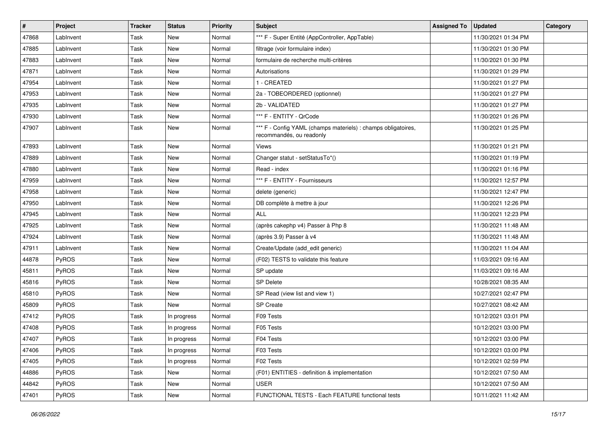| #     | Project   | Tracker | <b>Status</b> | <b>Priority</b> | Subject                                                                                   | <b>Assigned To</b> | <b>Updated</b>      | Category |
|-------|-----------|---------|---------------|-----------------|-------------------------------------------------------------------------------------------|--------------------|---------------------|----------|
| 47868 | LabInvent | Task    | New           | Normal          | *** F - Super Entité (AppController, AppTable)                                            |                    | 11/30/2021 01:34 PM |          |
| 47885 | LabInvent | Task    | New           | Normal          | filtrage (voir formulaire index)                                                          |                    | 11/30/2021 01:30 PM |          |
| 47883 | LabInvent | Task    | New           | Normal          | formulaire de recherche multi-critères                                                    |                    | 11/30/2021 01:30 PM |          |
| 47871 | LabInvent | Task    | New           | Normal          | Autorisations                                                                             |                    | 11/30/2021 01:29 PM |          |
| 47954 | LabInvent | Task    | New           | Normal          | 1 - CREATED                                                                               |                    | 11/30/2021 01:27 PM |          |
| 47953 | LabInvent | Task    | New           | Normal          | 2a - TOBEORDERED (optionnel)                                                              |                    | 11/30/2021 01:27 PM |          |
| 47935 | LabInvent | Task    | New           | Normal          | 2b - VALIDATED                                                                            |                    | 11/30/2021 01:27 PM |          |
| 47930 | LabInvent | Task    | New           | Normal          | *** F - ENTITY - QrCode                                                                   |                    | 11/30/2021 01:26 PM |          |
| 47907 | LabInvent | Task    | New           | Normal          | *** F - Config YAML (champs materiels) : champs obligatoires,<br>recommandés, ou readonly |                    | 11/30/2021 01:25 PM |          |
| 47893 | LabInvent | Task    | New           | Normal          | Views                                                                                     |                    | 11/30/2021 01:21 PM |          |
| 47889 | LabInvent | Task    | New           | Normal          | Changer statut - setStatusTo*()                                                           |                    | 11/30/2021 01:19 PM |          |
| 47880 | LabInvent | Task    | New           | Normal          | Read - index                                                                              |                    | 11/30/2021 01:16 PM |          |
| 47959 | LabInvent | Task    | New           | Normal          | *** F - ENTITY - Fournisseurs                                                             |                    | 11/30/2021 12:57 PM |          |
| 47958 | LabInvent | Task    | New           | Normal          | delete (generic)                                                                          |                    | 11/30/2021 12:47 PM |          |
| 47950 | LabInvent | Task    | New           | Normal          | DB complète à mettre à jour                                                               |                    | 11/30/2021 12:26 PM |          |
| 47945 | LabInvent | Task    | New           | Normal          | ALL                                                                                       |                    | 11/30/2021 12:23 PM |          |
| 47925 | LabInvent | Task    | New           | Normal          | (après cakephp v4) Passer à Php 8                                                         |                    | 11/30/2021 11:48 AM |          |
| 47924 | LabInvent | Task    | New           | Normal          | (après 3.9) Passer à v4                                                                   |                    | 11/30/2021 11:48 AM |          |
| 47911 | LabInvent | Task    | New           | Normal          | Create/Update (add_edit generic)                                                          |                    | 11/30/2021 11:04 AM |          |
| 44878 | PyROS     | Task    | New           | Normal          | (F02) TESTS to validate this feature                                                      |                    | 11/03/2021 09:16 AM |          |
| 45811 | PyROS     | Task    | New           | Normal          | SP update                                                                                 |                    | 11/03/2021 09:16 AM |          |
| 45816 | PyROS     | Task    | New           | Normal          | <b>SP Delete</b>                                                                          |                    | 10/28/2021 08:35 AM |          |
| 45810 | PyROS     | Task    | New           | Normal          | SP Read (view list and view 1)                                                            |                    | 10/27/2021 02:47 PM |          |
| 45809 | PyROS     | Task    | New           | Normal          | <b>SP</b> Create                                                                          |                    | 10/27/2021 08:42 AM |          |
| 47412 | PyROS     | Task    | In progress   | Normal          | F09 Tests                                                                                 |                    | 10/12/2021 03:01 PM |          |
| 47408 | PyROS     | Task    | In progress   | Normal          | F05 Tests                                                                                 |                    | 10/12/2021 03:00 PM |          |
| 47407 | PyROS     | Task    | In progress   | Normal          | F04 Tests                                                                                 |                    | 10/12/2021 03:00 PM |          |
| 47406 | PyROS     | Task    | In progress   | Normal          | F03 Tests                                                                                 |                    | 10/12/2021 03:00 PM |          |
| 47405 | PyROS     | Task    | In progress   | Normal          | F02 Tests                                                                                 |                    | 10/12/2021 02:59 PM |          |
| 44886 | PyROS     | Task    | New           | Normal          | (F01) ENTITIES - definition & implementation                                              |                    | 10/12/2021 07:50 AM |          |
| 44842 | PyROS     | Task    | New           | Normal          | <b>USER</b>                                                                               |                    | 10/12/2021 07:50 AM |          |
| 47401 | PyROS     | Task    | New           | Normal          | FUNCTIONAL TESTS - Each FEATURE functional tests                                          |                    | 10/11/2021 11:42 AM |          |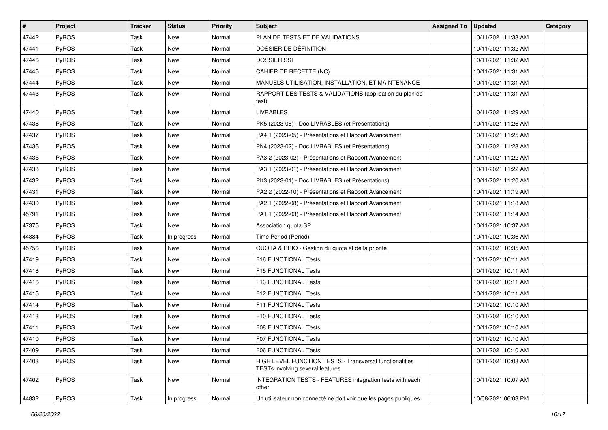| #     | Project      | <b>Tracker</b> | <b>Status</b> | <b>Priority</b> | <b>Subject</b>                                                                              | <b>Assigned To</b> | <b>Updated</b>      | Category |
|-------|--------------|----------------|---------------|-----------------|---------------------------------------------------------------------------------------------|--------------------|---------------------|----------|
| 47442 | PyROS        | Task           | New           | Normal          | PLAN DE TESTS ET DE VALIDATIONS                                                             |                    | 10/11/2021 11:33 AM |          |
| 47441 | PyROS        | Task           | New           | Normal          | DOSSIER DE DÉFINITION                                                                       |                    | 10/11/2021 11:32 AM |          |
| 47446 | PyROS        | Task           | New           | Normal          | <b>DOSSIER SSI</b>                                                                          |                    | 10/11/2021 11:32 AM |          |
| 47445 | PyROS        | Task           | New           | Normal          | CAHIER DE RECETTE (NC)                                                                      |                    | 10/11/2021 11:31 AM |          |
| 47444 | PyROS        | Task           | New           | Normal          | MANUELS UTILISATION, INSTALLATION, ET MAINTENANCE                                           |                    | 10/11/2021 11:31 AM |          |
| 47443 | PyROS        | Task           | New           | Normal          | RAPPORT DES TESTS & VALIDATIONS (application du plan de<br>test)                            |                    | 10/11/2021 11:31 AM |          |
| 47440 | PyROS        | Task           | New           | Normal          | <b>LIVRABLES</b>                                                                            |                    | 10/11/2021 11:29 AM |          |
| 47438 | PyROS        | Task           | New           | Normal          | PK5 (2023-06) - Doc LIVRABLES (et Présentations)                                            |                    | 10/11/2021 11:26 AM |          |
| 47437 | PyROS        | Task           | New           | Normal          | PA4.1 (2023-05) - Présentations et Rapport Avancement                                       |                    | 10/11/2021 11:25 AM |          |
| 47436 | PyROS        | Task           | New           | Normal          | PK4 (2023-02) - Doc LIVRABLES (et Présentations)                                            |                    | 10/11/2021 11:23 AM |          |
| 47435 | PyROS        | Task           | New           | Normal          | PA3.2 (2023-02) - Présentations et Rapport Avancement                                       |                    | 10/11/2021 11:22 AM |          |
| 47433 | PyROS        | Task           | New           | Normal          | PA3.1 (2023-01) - Présentations et Rapport Avancement                                       |                    | 10/11/2021 11:22 AM |          |
| 47432 | PyROS        | Task           | New           | Normal          | PK3 (2023-01) - Doc LIVRABLES (et Présentations)                                            |                    | 10/11/2021 11:20 AM |          |
| 47431 | PyROS        | Task           | New           | Normal          | PA2.2 (2022-10) - Présentations et Rapport Avancement                                       |                    | 10/11/2021 11:19 AM |          |
| 47430 | PyROS        | Task           | New           | Normal          | PA2.1 (2022-08) - Présentations et Rapport Avancement                                       |                    | 10/11/2021 11:18 AM |          |
| 45791 | PyROS        | Task           | New           | Normal          | PA1.1 (2022-03) - Présentations et Rapport Avancement                                       |                    | 10/11/2021 11:14 AM |          |
| 47375 | PyROS        | Task           | New           | Normal          | Association quota SP                                                                        |                    | 10/11/2021 10:37 AM |          |
| 44884 | PyROS        | Task           | In progress   | Normal          | Time Period (Period)                                                                        |                    | 10/11/2021 10:36 AM |          |
| 45756 | PyROS        | Task           | New           | Normal          | QUOTA & PRIO - Gestion du quota et de la priorité                                           |                    | 10/11/2021 10:35 AM |          |
| 47419 | <b>PyROS</b> | Task           | New           | Normal          | F16 FUNCTIONAL Tests                                                                        |                    | 10/11/2021 10:11 AM |          |
| 47418 | PyROS        | Task           | New           | Normal          | <b>F15 FUNCTIONAL Tests</b>                                                                 |                    | 10/11/2021 10:11 AM |          |
| 47416 | PyROS        | Task           | New           | Normal          | F13 FUNCTIONAL Tests                                                                        |                    | 10/11/2021 10:11 AM |          |
| 47415 | PyROS        | Task           | New           | Normal          | F12 FUNCTIONAL Tests                                                                        |                    | 10/11/2021 10:11 AM |          |
| 47414 | PyROS        | Task           | <b>New</b>    | Normal          | F11 FUNCTIONAL Tests                                                                        |                    | 10/11/2021 10:10 AM |          |
| 47413 | PyROS        | Task           | New           | Normal          | F10 FUNCTIONAL Tests                                                                        |                    | 10/11/2021 10:10 AM |          |
| 47411 | PyROS        | Task           | New           | Normal          | <b>F08 FUNCTIONAL Tests</b>                                                                 |                    | 10/11/2021 10:10 AM |          |
| 47410 | PyROS        | Task           | New           | Normal          | F07 FUNCTIONAL Tests                                                                        |                    | 10/11/2021 10:10 AM |          |
| 47409 | PyROS        | Task           | New           | Normal          | F06 FUNCTIONAL Tests                                                                        |                    | 10/11/2021 10:10 AM |          |
| 47403 | PyROS        | Task           | New           | Normal          | HIGH LEVEL FUNCTION TESTS - Transversal functionalities<br>TESTs involving several features |                    | 10/11/2021 10:08 AM |          |
| 47402 | PyROS        | Task           | New           | Normal          | INTEGRATION TESTS - FEATURES integration tests with each<br>other                           |                    | 10/11/2021 10:07 AM |          |
| 44832 | PyROS        | Task           | In progress   | Normal          | Un utilisateur non connecté ne doit voir que les pages publiques                            |                    | 10/08/2021 06:03 PM |          |